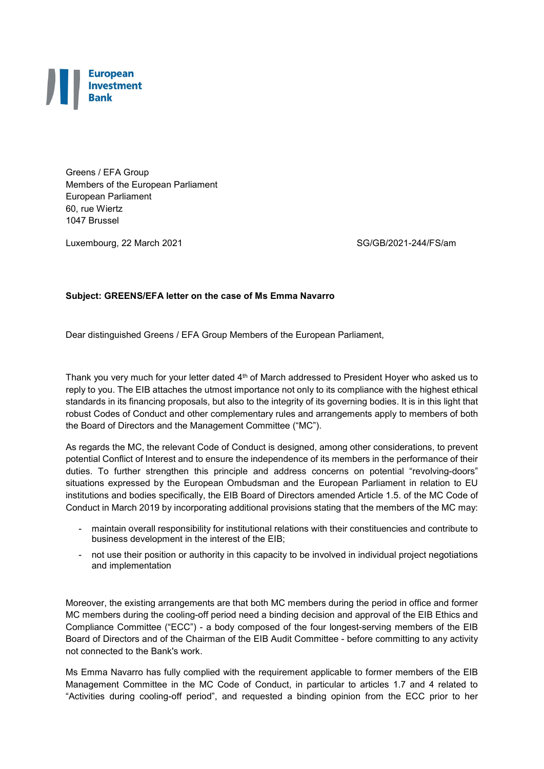

Greens / EFA Group Members of the European Parliament European Parliament 60, rue Wiertz 1047 Brussel

Luxembourg, 22 March 2021 SG/GB/2021-244/FS/am

## **Subject: GREENS/EFA letter on the case of Ms Emma Navarro**

Dear distinguished Greens / EFA Group Members of the European Parliament,

Thank you very much for your letter dated 4<sup>th</sup> of March addressed to President Hoyer who asked us to reply to you. The EIB attaches the utmost importance not only to its compliance with the highest ethical standards in its financing proposals, but also to the integrity of its governing bodies. It is in this light that robust Codes of Conduct and other complementary rules and arrangements apply to members of both the Board of Directors and the Management Committee ("MC").

As regards the MC, the relevant Code of Conduct is designed, among other considerations, to prevent potential Conflict of Interest and to ensure the independence of its members in the performance of their duties. To further strengthen this principle and address concerns on potential "revolving-doors" situations expressed by the European Ombudsman and the European Parliament in relation to EU institutions and bodies specifically, the EIB Board of Directors amended Article 1.5. of the MC Code of Conduct in March 2019 by incorporating additional provisions stating that the members of the MC may:

- maintain overall responsibility for institutional relations with their constituencies and contribute to business development in the interest of the EIB;
- not use their position or authority in this capacity to be involved in individual project negotiations and implementation

Moreover, the existing arrangements are that both MC members during the period in office and former MC members during the cooling-off period need a binding decision and approval of the EIB Ethics and Compliance Committee ("ECC") - a body composed of the four longest-serving members of the EIB Board of Directors and of the Chairman of the EIB Audit Committee - before committing to any activity not connected to the Bank's work.

Ms Emma Navarro has fully complied with the requirement applicable to former members of the EIB Management Committee in the MC Code of Conduct, in particular to articles 1.7 and 4 related to "Activities during cooling-off period", and requested a binding opinion from the ECC prior to her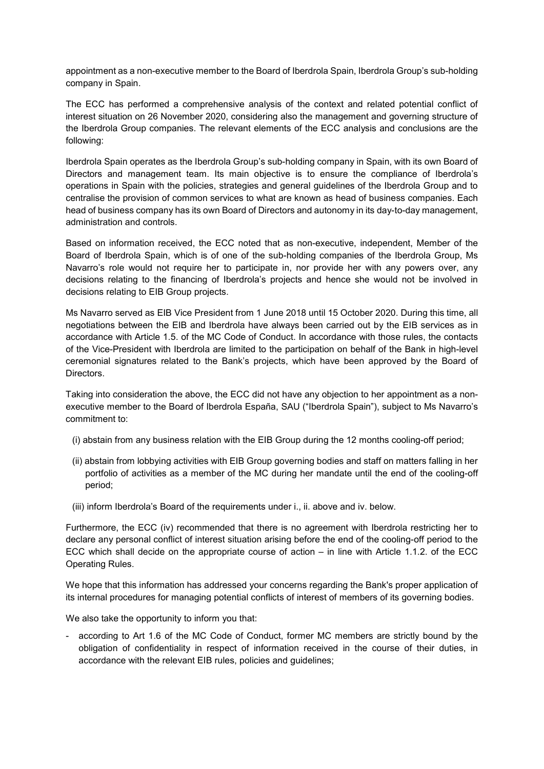appointment as a non-executive member to the Board of Iberdrola Spain, Iberdrola Group's sub-holding company in Spain.

The ECC has performed a comprehensive analysis of the context and related potential conflict of interest situation on 26 November 2020, considering also the management and governing structure of the Iberdrola Group companies. The relevant elements of the ECC analysis and conclusions are the following:

Iberdrola Spain operates as the Iberdrola Group's sub-holding company in Spain, with its own Board of Directors and management team. Its main objective is to ensure the compliance of Iberdrola's operations in Spain with the policies, strategies and general guidelines of the Iberdrola Group and to centralise the provision of common services to what are known as head of business companies. Each head of business company has its own Board of Directors and autonomy in its day-to-day management, administration and controls.

Based on information received, the ECC noted that as non-executive, independent, Member of the Board of Iberdrola Spain, which is of one of the sub-holding companies of the Iberdrola Group, Ms Navarro's role would not require her to participate in, nor provide her with any powers over, any decisions relating to the financing of Iberdrola's projects and hence she would not be involved in decisions relating to EIB Group projects.

Ms Navarro served as EIB Vice President from 1 June 2018 until 15 October 2020. During this time, all negotiations between the EIB and Iberdrola have always been carried out by the EIB services as in accordance with Article 1.5. of the MC Code of Conduct. In accordance with those rules, the contacts of the Vice-President with Iberdrola are limited to the participation on behalf of the Bank in high-level ceremonial signatures related to the Bank's projects, which have been approved by the Board of Directors.

Taking into consideration the above, the ECC did not have any objection to her appointment as a nonexecutive member to the Board of Iberdrola España, SAU ("Iberdrola Spain"), subject to Ms Navarro's commitment to:

- (i) abstain from any business relation with the EIB Group during the 12 months cooling-off period;
- (ii) abstain from lobbying activities with EIB Group governing bodies and staff on matters falling in her portfolio of activities as a member of the MC during her mandate until the end of the cooling-off period;
- (iii) inform Iberdrola's Board of the requirements under i., ii. above and iv. below.

Furthermore, the ECC (iv) recommended that there is no agreement with Iberdrola restricting her to declare any personal conflict of interest situation arising before the end of the cooling-off period to the ECC which shall decide on the appropriate course of action – in line with Article 1.1.2. of the ECC Operating Rules.

We hope that this information has addressed your concerns regarding the Bank's proper application of its internal procedures for managing potential conflicts of interest of members of its governing bodies.

We also take the opportunity to inform you that:

- according to Art 1.6 of the MC Code of Conduct, former MC members are strictly bound by the obligation of confidentiality in respect of information received in the course of their duties, in accordance with the relevant EIB rules, policies and guidelines;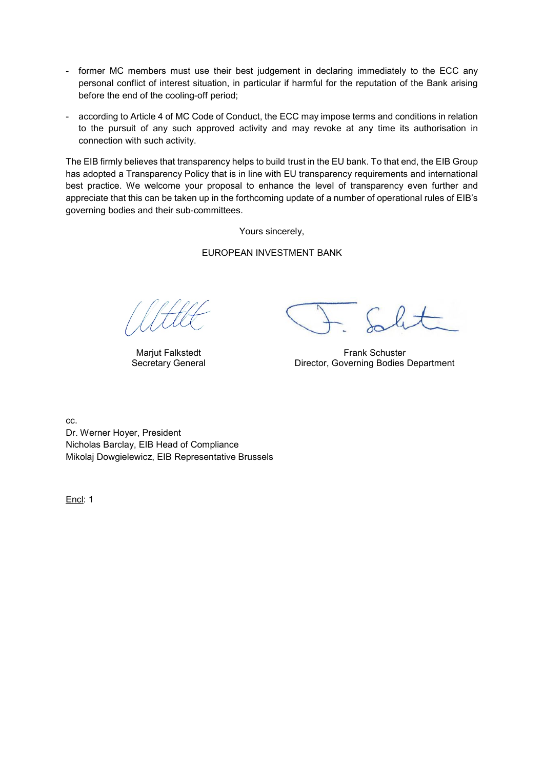- former MC members must use their best judgement in declaring immediately to the ECC any personal conflict of interest situation, in particular if harmful for the reputation of the Bank arising before the end of the cooling-off period;
- according to Article 4 of MC Code of Conduct, the ECC may impose terms and conditions in relation to the pursuit of any such approved activity and may revoke at any time its authorisation in connection with such activity.

The EIB firmly believes that transparency helps to build [trust in the EU bank.](https://www.eib.org/en/publications/trust-through-transparency.htm) To that end, the EIB Group has adopted a [Transparency Policy](https://www.eib.org/en/publications/eib-group-transparency-policy.htm) that is in line with EU transparency requirements and international best practice. We welcome your proposal to enhance the level of transparency even further and appreciate that this can be taken up in the forthcoming update of a number of operational rules of EIB's governing bodies and their sub-committees.

Yours sincerely,

## EUROPEAN INVESTMENT BANK

Marjut Falkstedt Secretary General

Frank Schuster Director, Governing Bodies Department

cc. Dr. Werner Hoyer, President Nicholas Barclay, EIB Head of Compliance Mikolaj Dowgielewicz, EIB Representative Brussels

Encl: 1